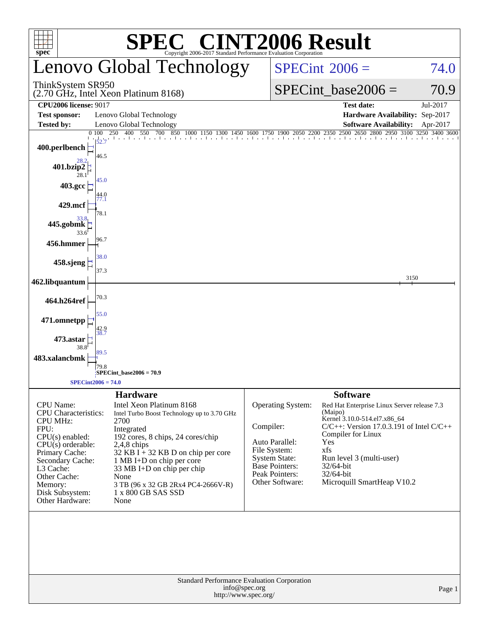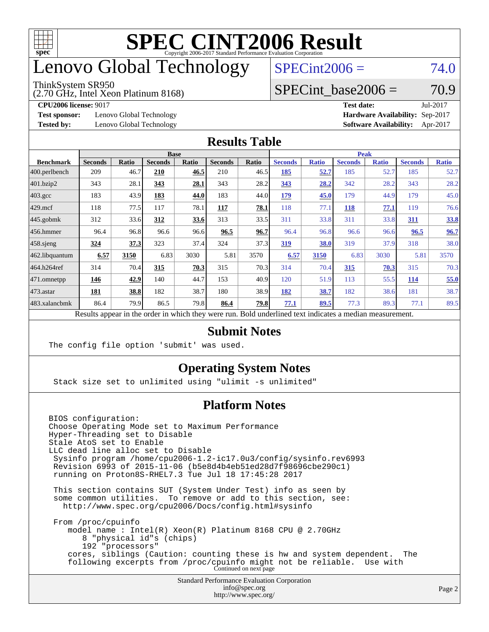

# enovo Global Technology

#### ThinkSystem SR950

(2.70 GHz, Intel Xeon Platinum 8168)

 $SPECint2006 = 74.0$  $SPECint2006 = 74.0$ 

### SPECint base2006 =  $70.9$

**[Test sponsor:](http://www.spec.org/auto/cpu2006/Docs/result-fields.html#Testsponsor)** Lenovo Global Technology **[Hardware Availability:](http://www.spec.org/auto/cpu2006/Docs/result-fields.html#HardwareAvailability)** Sep-2017

**[CPU2006 license:](http://www.spec.org/auto/cpu2006/Docs/result-fields.html#CPU2006license)** 9017 **[Test date:](http://www.spec.org/auto/cpu2006/Docs/result-fields.html#Testdate)** Jul-2017 **[Tested by:](http://www.spec.org/auto/cpu2006/Docs/result-fields.html#Testedby)** Lenovo Global Technology **[Software Availability:](http://www.spec.org/auto/cpu2006/Docs/result-fields.html#SoftwareAvailability)** Apr-2017

#### **[Results Table](http://www.spec.org/auto/cpu2006/Docs/result-fields.html#ResultsTable)**

|                  | <b>Base</b>    |              |                |       |                |       | <b>Peak</b>                                                                                              |              |                |              |                |              |
|------------------|----------------|--------------|----------------|-------|----------------|-------|----------------------------------------------------------------------------------------------------------|--------------|----------------|--------------|----------------|--------------|
| <b>Benchmark</b> | <b>Seconds</b> | <b>Ratio</b> | <b>Seconds</b> | Ratio | <b>Seconds</b> | Ratio | <b>Seconds</b>                                                                                           | <b>Ratio</b> | <b>Seconds</b> | <b>Ratio</b> | <b>Seconds</b> | <b>Ratio</b> |
| 400.perlbench    | 209            | 46.7         | 210            | 46.5  | 210            | 46.5  | 185                                                                                                      | 52.7         | 185            | 52.7         | 185            | 52.7         |
| $401$ .bzip2     | 343            | 28.1         | 343            | 28.1  | 343            | 28.2  | 343                                                                                                      | 28.2         | 342            | 28.2         | 343            | 28.2         |
| $403.\text{gcc}$ | 183            | 43.9         | 183            | 44.0  | 183            | 44.0  | 179                                                                                                      | 45.0         | 179            | 44.9         | 179            | 45.0         |
| $429$ mcf        | 118            | 77.5         | 117            | 78.1  | 117            | 78.1  | 118                                                                                                      | 77.1         | 118            | 77.1         | 119            | 76.6         |
| $445$ .gobmk     | 312            | 33.6         | 312            | 33.6  | 313            | 33.5  | 311                                                                                                      | 33.8         | 311            | 33.8         | 311            | 33.8         |
| 456.hmmer        | 96.4           | 96.8         | 96.6           | 96.6  | 96.5           | 96.7  | 96.4                                                                                                     | 96.8         | 96.6           | 96.6         | 96.5           | 96.7         |
| $458$ .sjeng     | 324            | 37.3         | 323            | 37.4  | 324            | 37.3  | 319                                                                                                      | 38.0         | 319            | 37.9         | 318            | 38.0         |
| 462.libquantum   | 6.57           | 3150         | 6.83           | 3030  | 5.81           | 3570  | 6.57                                                                                                     | 3150         | 6.83           | 3030         | 5.81           | 3570         |
| 464.h264ref      | 314            | 70.4         | 315            | 70.3  | 315            | 70.3  | 314                                                                                                      | 70.4         | 315            | 70.3         | 315            | 70.3         |
| $ 471$ .omnetpp  | 146            | 42.9         | 140            | 44.7  | 153            | 40.9  | 120                                                                                                      | 51.9         | 113            | 55.5         | 114            | 55.0         |
| $473$ . astar    | 181            | 38.8         | 182            | 38.7  | 180            | 38.9  | 182                                                                                                      | 38.7         | 182            | 38.6         | 181            | 38.7         |
| 483.xalancbmk    | 86.4           | 79.9         | 86.5           | 79.8  | 86.4           | 79.8  | 77.1                                                                                                     | 89.5         | 77.3           | 89.3         | 77.1           | 89.5         |
|                  |                |              |                |       |                |       | Results appear in the order in which they were run. Bold underlined text indicates a median measurement. |              |                |              |                |              |

### **[Submit Notes](http://www.spec.org/auto/cpu2006/Docs/result-fields.html#SubmitNotes)**

The config file option 'submit' was used.

### **[Operating System Notes](http://www.spec.org/auto/cpu2006/Docs/result-fields.html#OperatingSystemNotes)**

Stack size set to unlimited using "ulimit -s unlimited"

### **[Platform Notes](http://www.spec.org/auto/cpu2006/Docs/result-fields.html#PlatformNotes)**

Standard Performance Evaluation Corporation [info@spec.org](mailto:info@spec.org) BIOS configuration: Choose Operating Mode set to Maximum Performance Hyper-Threading set to Disable Stale AtoS set to Enable LLC dead line alloc set to Disable Sysinfo program /home/cpu2006-1.2-ic17.0u3/config/sysinfo.rev6993 Revision 6993 of 2015-11-06 (b5e8d4b4eb51ed28d7f98696cbe290c1) running on Proton8S-RHEL7.3 Tue Jul 18 17:45:28 2017 This section contains SUT (System Under Test) info as seen by some common utilities. To remove or add to this section, see: <http://www.spec.org/cpu2006/Docs/config.html#sysinfo> From /proc/cpuinfo model name : Intel(R) Xeon(R) Platinum 8168 CPU @ 2.70GHz 8 "physical id"s (chips) 192 "processors" cores, siblings (Caution: counting these is hw and system dependent. The following excerpts from /proc/cpuinfo might not be reliable. Use with Continued on next page

<http://www.spec.org/>

Page 2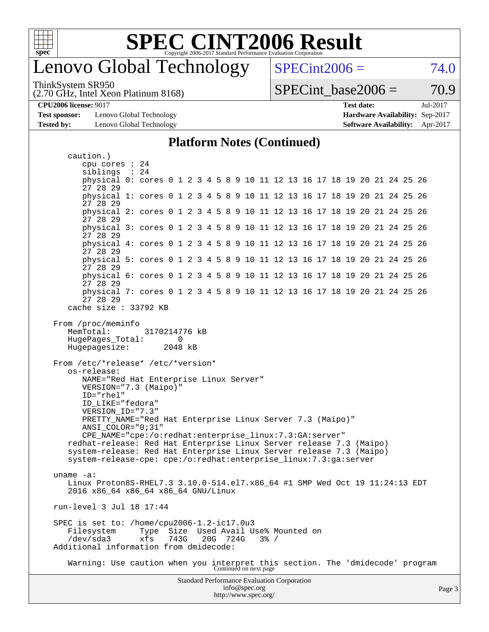

### enovo Global Technology

ThinkSystem SR950

(2.70 GHz, Intel Xeon Platinum 8168)

 $SPECint2006 = 74.0$  $SPECint2006 = 74.0$ 

SPECint base2006 =  $70.9$ 

**[CPU2006 license:](http://www.spec.org/auto/cpu2006/Docs/result-fields.html#CPU2006license)** 9017 **[Test date:](http://www.spec.org/auto/cpu2006/Docs/result-fields.html#Testdate)** Jul-2017

**[Test sponsor:](http://www.spec.org/auto/cpu2006/Docs/result-fields.html#Testsponsor)** Lenovo Global Technology **[Hardware Availability:](http://www.spec.org/auto/cpu2006/Docs/result-fields.html#HardwareAvailability)** Sep-2017

**[Tested by:](http://www.spec.org/auto/cpu2006/Docs/result-fields.html#Testedby)** Lenovo Global Technology **[Software Availability:](http://www.spec.org/auto/cpu2006/Docs/result-fields.html#SoftwareAvailability)** Apr-2017

#### **[Platform Notes \(Continued\)](http://www.spec.org/auto/cpu2006/Docs/result-fields.html#PlatformNotes)**

Standard Performance Evaluation Corporation [info@spec.org](mailto:info@spec.org) caution.) cpu cores : 24 siblings : 24 physical 0: cores 0 1 2 3 4 5 8 9 10 11 12 13 16 17 18 19 20 21 24 25 26 27 28 29 physical 1: cores 0 1 2 3 4 5 8 9 10 11 12 13 16 17 18 19 20 21 24 25 26 27 28 29 physical 2: cores 0 1 2 3 4 5 8 9 10 11 12 13 16 17 18 19 20 21 24 25 26 27 28 29 physical 3: cores 0 1 2 3 4 5 8 9 10 11 12 13 16 17 18 19 20 21 24 25 26 27 28 29 physical 4: cores 0 1 2 3 4 5 8 9 10 11 12 13 16 17 18 19 20 21 24 25 26 27 28 29 physical 5: cores 0 1 2 3 4 5 8 9 10 11 12 13 16 17 18 19 20 21 24 25 26 27 28 29 physical 6: cores 0 1 2 3 4 5 8 9 10 11 12 13 16 17 18 19 20 21 24 25 26 27 28 29 physical 7: cores 0 1 2 3 4 5 8 9 10 11 12 13 16 17 18 19 20 21 24 25 26 27 28 29 cache size : 33792 KB From /proc/meminfo MemTotal: 3170214776 kB HugePages\_Total: 0 Hugepagesize: 2048 kB From /etc/\*release\* /etc/\*version\* os-release: NAME="Red Hat Enterprise Linux Server" VERSION="7.3 (Maipo)" ID="rhel" ID\_LIKE="fedora" VERSION\_ID="7.3" PRETTY\_NAME="Red Hat Enterprise Linux Server 7.3 (Maipo)" ANSI\_COLOR="0;31" CPE\_NAME="cpe:/o:redhat:enterprise\_linux:7.3:GA:server" redhat-release: Red Hat Enterprise Linux Server release 7.3 (Maipo) system-release: Red Hat Enterprise Linux Server release 7.3 (Maipo) system-release-cpe: cpe:/o:redhat:enterprise\_linux:7.3:ga:server uname -a: Linux Proton8S-RHEL7.3 3.10.0-514.el7.x86\_64 #1 SMP Wed Oct 19 11:24:13 EDT 2016 x86\_64 x86\_64 x86\_64 GNU/Linux run-level 3 Jul 18 17:44 SPEC is set to: /home/cpu2006-1.2-ic17.0u3 Filesystem Type Size Used Avail Use% Mounted on /dev/sda3 xfs 743G 20G 724G 3% / Additional information from dmidecode: Warning: Use caution when you interpret this section. The 'dmidecode' program Continued on next page

<http://www.spec.org/>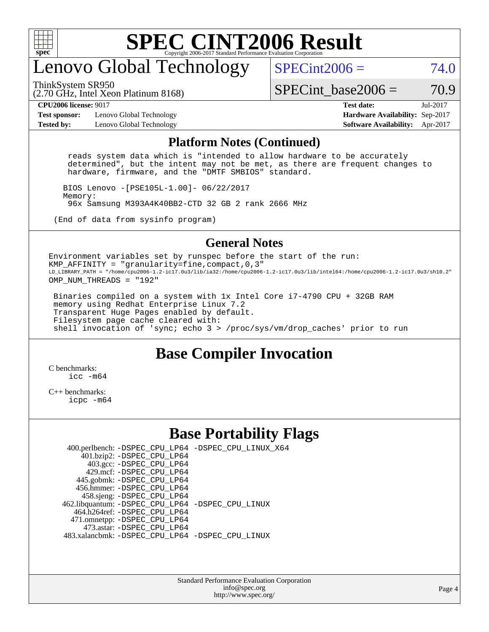

### enovo Global Technology

ThinkSystem SR950

 $SPECint2006 = 74.0$  $SPECint2006 = 74.0$ 

(2.70 GHz, Intel Xeon Platinum 8168)

SPECint base2006 =  $70.9$ 

**[Test sponsor:](http://www.spec.org/auto/cpu2006/Docs/result-fields.html#Testsponsor)** Lenovo Global Technology **[Hardware Availability:](http://www.spec.org/auto/cpu2006/Docs/result-fields.html#HardwareAvailability)** Sep-2017 **[Tested by:](http://www.spec.org/auto/cpu2006/Docs/result-fields.html#Testedby)** Lenovo Global Technology **[Software Availability:](http://www.spec.org/auto/cpu2006/Docs/result-fields.html#SoftwareAvailability)** Apr-2017

**[CPU2006 license:](http://www.spec.org/auto/cpu2006/Docs/result-fields.html#CPU2006license)** 9017 **[Test date:](http://www.spec.org/auto/cpu2006/Docs/result-fields.html#Testdate)** Jul-2017

#### **[Platform Notes \(Continued\)](http://www.spec.org/auto/cpu2006/Docs/result-fields.html#PlatformNotes)**

 reads system data which is "intended to allow hardware to be accurately determined", but the intent may not be met, as there are frequent changes to hardware, firmware, and the "DMTF SMBIOS" standard.

 BIOS Lenovo -[PSE105L-1.00]- 06/22/2017 Memory: 96x Samsung M393A4K40BB2-CTD 32 GB 2 rank 2666 MHz

(End of data from sysinfo program)

### **[General Notes](http://www.spec.org/auto/cpu2006/Docs/result-fields.html#GeneralNotes)**

Environment variables set by runspec before the start of the run: KMP AFFINITY = "granularity=fine, compact,  $0.3$ " LD\_LIBRARY\_PATH = "/home/cpu2006-1.2-ic17.0u3/lib/ia32:/home/cpu2006-1.2-ic17.0u3/lib/intel64:/home/cpu2006-1.2-ic17.0u3/sh10.2" OMP NUM THREADS = "192"

 Binaries compiled on a system with 1x Intel Core i7-4790 CPU + 32GB RAM memory using Redhat Enterprise Linux 7.2 Transparent Huge Pages enabled by default. Filesystem page cache cleared with: shell invocation of 'sync; echo 3 > /proc/sys/vm/drop\_caches' prior to run

### **[Base Compiler Invocation](http://www.spec.org/auto/cpu2006/Docs/result-fields.html#BaseCompilerInvocation)**

[C benchmarks](http://www.spec.org/auto/cpu2006/Docs/result-fields.html#Cbenchmarks): icc  $-m64$ 

[C++ benchmarks:](http://www.spec.org/auto/cpu2006/Docs/result-fields.html#CXXbenchmarks) [icpc -m64](http://www.spec.org/cpu2006/results/res2017q4/cpu2006-20170917-49365.flags.html#user_CXXbase_intel_icpc_64bit_fc66a5337ce925472a5c54ad6a0de310)

### **[Base Portability Flags](http://www.spec.org/auto/cpu2006/Docs/result-fields.html#BasePortabilityFlags)**

 400.perlbench: [-DSPEC\\_CPU\\_LP64](http://www.spec.org/cpu2006/results/res2017q4/cpu2006-20170917-49365.flags.html#b400.perlbench_basePORTABILITY_DSPEC_CPU_LP64) [-DSPEC\\_CPU\\_LINUX\\_X64](http://www.spec.org/cpu2006/results/res2017q4/cpu2006-20170917-49365.flags.html#b400.perlbench_baseCPORTABILITY_DSPEC_CPU_LINUX_X64) 401.bzip2: [-DSPEC\\_CPU\\_LP64](http://www.spec.org/cpu2006/results/res2017q4/cpu2006-20170917-49365.flags.html#suite_basePORTABILITY401_bzip2_DSPEC_CPU_LP64) 403.gcc: [-DSPEC\\_CPU\\_LP64](http://www.spec.org/cpu2006/results/res2017q4/cpu2006-20170917-49365.flags.html#suite_basePORTABILITY403_gcc_DSPEC_CPU_LP64) 429.mcf: [-DSPEC\\_CPU\\_LP64](http://www.spec.org/cpu2006/results/res2017q4/cpu2006-20170917-49365.flags.html#suite_basePORTABILITY429_mcf_DSPEC_CPU_LP64) 445.gobmk: [-DSPEC\\_CPU\\_LP64](http://www.spec.org/cpu2006/results/res2017q4/cpu2006-20170917-49365.flags.html#suite_basePORTABILITY445_gobmk_DSPEC_CPU_LP64) 456.hmmer: [-DSPEC\\_CPU\\_LP64](http://www.spec.org/cpu2006/results/res2017q4/cpu2006-20170917-49365.flags.html#suite_basePORTABILITY456_hmmer_DSPEC_CPU_LP64) 458.sjeng: [-DSPEC\\_CPU\\_LP64](http://www.spec.org/cpu2006/results/res2017q4/cpu2006-20170917-49365.flags.html#suite_basePORTABILITY458_sjeng_DSPEC_CPU_LP64) 462.libquantum: [-DSPEC\\_CPU\\_LP64](http://www.spec.org/cpu2006/results/res2017q4/cpu2006-20170917-49365.flags.html#suite_basePORTABILITY462_libquantum_DSPEC_CPU_LP64) [-DSPEC\\_CPU\\_LINUX](http://www.spec.org/cpu2006/results/res2017q4/cpu2006-20170917-49365.flags.html#b462.libquantum_baseCPORTABILITY_DSPEC_CPU_LINUX) 464.h264ref: [-DSPEC\\_CPU\\_LP64](http://www.spec.org/cpu2006/results/res2017q4/cpu2006-20170917-49365.flags.html#suite_basePORTABILITY464_h264ref_DSPEC_CPU_LP64) 471.omnetpp: [-DSPEC\\_CPU\\_LP64](http://www.spec.org/cpu2006/results/res2017q4/cpu2006-20170917-49365.flags.html#suite_basePORTABILITY471_omnetpp_DSPEC_CPU_LP64) 473.astar: [-DSPEC\\_CPU\\_LP64](http://www.spec.org/cpu2006/results/res2017q4/cpu2006-20170917-49365.flags.html#suite_basePORTABILITY473_astar_DSPEC_CPU_LP64) 483.xalancbmk: [-DSPEC\\_CPU\\_LP64](http://www.spec.org/cpu2006/results/res2017q4/cpu2006-20170917-49365.flags.html#suite_basePORTABILITY483_xalancbmk_DSPEC_CPU_LP64) [-DSPEC\\_CPU\\_LINUX](http://www.spec.org/cpu2006/results/res2017q4/cpu2006-20170917-49365.flags.html#b483.xalancbmk_baseCXXPORTABILITY_DSPEC_CPU_LINUX)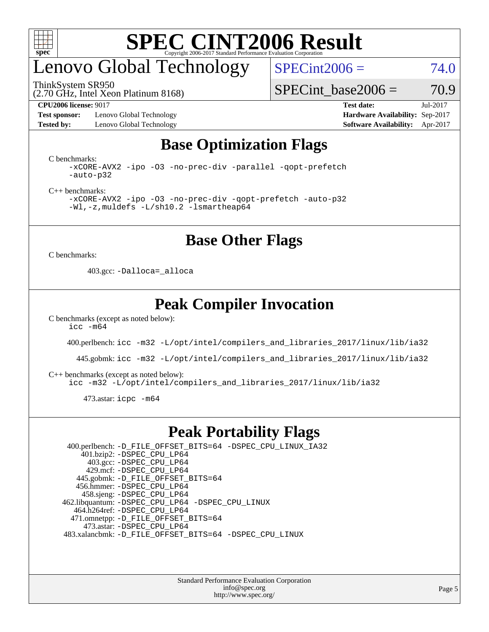

## enovo Global Technology

ThinkSystem SR950

 $SPECint2006 = 74.0$  $SPECint2006 = 74.0$ 

(2.70 GHz, Intel Xeon Platinum 8168)

SPECint base2006 =  $70.9$ 

**[Test sponsor:](http://www.spec.org/auto/cpu2006/Docs/result-fields.html#Testsponsor)** Lenovo Global Technology **[Hardware Availability:](http://www.spec.org/auto/cpu2006/Docs/result-fields.html#HardwareAvailability)** Sep-2017 **[Tested by:](http://www.spec.org/auto/cpu2006/Docs/result-fields.html#Testedby)** Lenovo Global Technology **[Software Availability:](http://www.spec.org/auto/cpu2006/Docs/result-fields.html#SoftwareAvailability)** Apr-2017

**[CPU2006 license:](http://www.spec.org/auto/cpu2006/Docs/result-fields.html#CPU2006license)** 9017 **[Test date:](http://www.spec.org/auto/cpu2006/Docs/result-fields.html#Testdate)** Jul-2017

### **[Base Optimization Flags](http://www.spec.org/auto/cpu2006/Docs/result-fields.html#BaseOptimizationFlags)**

[C benchmarks](http://www.spec.org/auto/cpu2006/Docs/result-fields.html#Cbenchmarks):

[-xCORE-AVX2](http://www.spec.org/cpu2006/results/res2017q4/cpu2006-20170917-49365.flags.html#user_CCbase_f-xCORE-AVX2) [-ipo](http://www.spec.org/cpu2006/results/res2017q4/cpu2006-20170917-49365.flags.html#user_CCbase_f-ipo) [-O3](http://www.spec.org/cpu2006/results/res2017q4/cpu2006-20170917-49365.flags.html#user_CCbase_f-O3) [-no-prec-div](http://www.spec.org/cpu2006/results/res2017q4/cpu2006-20170917-49365.flags.html#user_CCbase_f-no-prec-div) [-parallel](http://www.spec.org/cpu2006/results/res2017q4/cpu2006-20170917-49365.flags.html#user_CCbase_f-parallel) [-qopt-prefetch](http://www.spec.org/cpu2006/results/res2017q4/cpu2006-20170917-49365.flags.html#user_CCbase_f-qopt-prefetch) [-auto-p32](http://www.spec.org/cpu2006/results/res2017q4/cpu2006-20170917-49365.flags.html#user_CCbase_f-auto-p32)

[C++ benchmarks:](http://www.spec.org/auto/cpu2006/Docs/result-fields.html#CXXbenchmarks)

[-xCORE-AVX2](http://www.spec.org/cpu2006/results/res2017q4/cpu2006-20170917-49365.flags.html#user_CXXbase_f-xCORE-AVX2) [-ipo](http://www.spec.org/cpu2006/results/res2017q4/cpu2006-20170917-49365.flags.html#user_CXXbase_f-ipo) [-O3](http://www.spec.org/cpu2006/results/res2017q4/cpu2006-20170917-49365.flags.html#user_CXXbase_f-O3) [-no-prec-div](http://www.spec.org/cpu2006/results/res2017q4/cpu2006-20170917-49365.flags.html#user_CXXbase_f-no-prec-div) [-qopt-prefetch](http://www.spec.org/cpu2006/results/res2017q4/cpu2006-20170917-49365.flags.html#user_CXXbase_f-qopt-prefetch) [-auto-p32](http://www.spec.org/cpu2006/results/res2017q4/cpu2006-20170917-49365.flags.html#user_CXXbase_f-auto-p32) [-Wl,-z,muldefs](http://www.spec.org/cpu2006/results/res2017q4/cpu2006-20170917-49365.flags.html#user_CXXbase_link_force_multiple1_74079c344b956b9658436fd1b6dd3a8a) [-L/sh10.2 -lsmartheap64](http://www.spec.org/cpu2006/results/res2017q4/cpu2006-20170917-49365.flags.html#user_CXXbase_SmartHeap64_63911d860fc08c15fa1d5bf319b9d8d5)

**[Base Other Flags](http://www.spec.org/auto/cpu2006/Docs/result-fields.html#BaseOtherFlags)**

[C benchmarks](http://www.spec.org/auto/cpu2006/Docs/result-fields.html#Cbenchmarks):

403.gcc: [-Dalloca=\\_alloca](http://www.spec.org/cpu2006/results/res2017q4/cpu2006-20170917-49365.flags.html#b403.gcc_baseEXTRA_CFLAGS_Dalloca_be3056838c12de2578596ca5467af7f3)

### **[Peak Compiler Invocation](http://www.spec.org/auto/cpu2006/Docs/result-fields.html#PeakCompilerInvocation)**

[C benchmarks \(except as noted below\)](http://www.spec.org/auto/cpu2006/Docs/result-fields.html#Cbenchmarksexceptasnotedbelow):  $\text{icc}$   $-\text{m64}$ 

400.perlbench: [icc -m32 -L/opt/intel/compilers\\_and\\_libraries\\_2017/linux/lib/ia32](http://www.spec.org/cpu2006/results/res2017q4/cpu2006-20170917-49365.flags.html#user_peakCCLD400_perlbench_intel_icc_c29f3ff5a7ed067b11e4ec10a03f03ae)

445.gobmk: [icc -m32 -L/opt/intel/compilers\\_and\\_libraries\\_2017/linux/lib/ia32](http://www.spec.org/cpu2006/results/res2017q4/cpu2006-20170917-49365.flags.html#user_peakCCLD445_gobmk_intel_icc_c29f3ff5a7ed067b11e4ec10a03f03ae)

[C++ benchmarks \(except as noted below\):](http://www.spec.org/auto/cpu2006/Docs/result-fields.html#CXXbenchmarksexceptasnotedbelow)

[icc -m32 -L/opt/intel/compilers\\_and\\_libraries\\_2017/linux/lib/ia32](http://www.spec.org/cpu2006/results/res2017q4/cpu2006-20170917-49365.flags.html#user_CXXpeak_intel_icc_c29f3ff5a7ed067b11e4ec10a03f03ae)

473.astar: [icpc -m64](http://www.spec.org/cpu2006/results/res2017q4/cpu2006-20170917-49365.flags.html#user_peakCXXLD473_astar_intel_icpc_64bit_fc66a5337ce925472a5c54ad6a0de310)

### **[Peak Portability Flags](http://www.spec.org/auto/cpu2006/Docs/result-fields.html#PeakPortabilityFlags)**

 400.perlbench: [-D\\_FILE\\_OFFSET\\_BITS=64](http://www.spec.org/cpu2006/results/res2017q4/cpu2006-20170917-49365.flags.html#user_peakPORTABILITY400_perlbench_file_offset_bits_64_438cf9856305ebd76870a2c6dc2689ab) [-DSPEC\\_CPU\\_LINUX\\_IA32](http://www.spec.org/cpu2006/results/res2017q4/cpu2006-20170917-49365.flags.html#b400.perlbench_peakCPORTABILITY_DSPEC_CPU_LINUX_IA32) 401.bzip2: [-DSPEC\\_CPU\\_LP64](http://www.spec.org/cpu2006/results/res2017q4/cpu2006-20170917-49365.flags.html#suite_peakPORTABILITY401_bzip2_DSPEC_CPU_LP64) 403.gcc: [-DSPEC\\_CPU\\_LP64](http://www.spec.org/cpu2006/results/res2017q4/cpu2006-20170917-49365.flags.html#suite_peakPORTABILITY403_gcc_DSPEC_CPU_LP64) 429.mcf: [-DSPEC\\_CPU\\_LP64](http://www.spec.org/cpu2006/results/res2017q4/cpu2006-20170917-49365.flags.html#suite_peakPORTABILITY429_mcf_DSPEC_CPU_LP64) 445.gobmk: [-D\\_FILE\\_OFFSET\\_BITS=64](http://www.spec.org/cpu2006/results/res2017q4/cpu2006-20170917-49365.flags.html#user_peakPORTABILITY445_gobmk_file_offset_bits_64_438cf9856305ebd76870a2c6dc2689ab) 456.hmmer: [-DSPEC\\_CPU\\_LP64](http://www.spec.org/cpu2006/results/res2017q4/cpu2006-20170917-49365.flags.html#suite_peakPORTABILITY456_hmmer_DSPEC_CPU_LP64) 458.sjeng: [-DSPEC\\_CPU\\_LP64](http://www.spec.org/cpu2006/results/res2017q4/cpu2006-20170917-49365.flags.html#suite_peakPORTABILITY458_sjeng_DSPEC_CPU_LP64) 462.libquantum: [-DSPEC\\_CPU\\_LP64](http://www.spec.org/cpu2006/results/res2017q4/cpu2006-20170917-49365.flags.html#suite_peakPORTABILITY462_libquantum_DSPEC_CPU_LP64) [-DSPEC\\_CPU\\_LINUX](http://www.spec.org/cpu2006/results/res2017q4/cpu2006-20170917-49365.flags.html#b462.libquantum_peakCPORTABILITY_DSPEC_CPU_LINUX) 464.h264ref: [-DSPEC\\_CPU\\_LP64](http://www.spec.org/cpu2006/results/res2017q4/cpu2006-20170917-49365.flags.html#suite_peakPORTABILITY464_h264ref_DSPEC_CPU_LP64) 471.omnetpp: [-D\\_FILE\\_OFFSET\\_BITS=64](http://www.spec.org/cpu2006/results/res2017q4/cpu2006-20170917-49365.flags.html#user_peakPORTABILITY471_omnetpp_file_offset_bits_64_438cf9856305ebd76870a2c6dc2689ab) 473.astar: [-DSPEC\\_CPU\\_LP64](http://www.spec.org/cpu2006/results/res2017q4/cpu2006-20170917-49365.flags.html#suite_peakPORTABILITY473_astar_DSPEC_CPU_LP64) 483.xalancbmk: [-D\\_FILE\\_OFFSET\\_BITS=64](http://www.spec.org/cpu2006/results/res2017q4/cpu2006-20170917-49365.flags.html#user_peakPORTABILITY483_xalancbmk_file_offset_bits_64_438cf9856305ebd76870a2c6dc2689ab) [-DSPEC\\_CPU\\_LINUX](http://www.spec.org/cpu2006/results/res2017q4/cpu2006-20170917-49365.flags.html#b483.xalancbmk_peakCXXPORTABILITY_DSPEC_CPU_LINUX)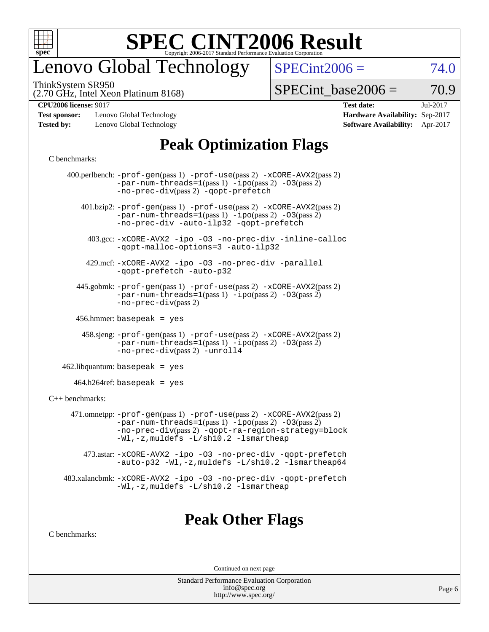

# enovo Global Technology

ThinkSystem SR950

(2.70 GHz, Intel Xeon Platinum 8168)

 $SPECint2006 = 74.0$  $SPECint2006 = 74.0$ 

 $SPECTnt\_base2006 = 70.9$ 

**[Test sponsor:](http://www.spec.org/auto/cpu2006/Docs/result-fields.html#Testsponsor)** Lenovo Global Technology **[Hardware Availability:](http://www.spec.org/auto/cpu2006/Docs/result-fields.html#HardwareAvailability)** Sep-2017 **[Tested by:](http://www.spec.org/auto/cpu2006/Docs/result-fields.html#Testedby)** Lenovo Global Technology **[Software Availability:](http://www.spec.org/auto/cpu2006/Docs/result-fields.html#SoftwareAvailability)** Apr-2017

**[CPU2006 license:](http://www.spec.org/auto/cpu2006/Docs/result-fields.html#CPU2006license)** 9017 **[Test date:](http://www.spec.org/auto/cpu2006/Docs/result-fields.html#Testdate)** Jul-2017

### **[Peak Optimization Flags](http://www.spec.org/auto/cpu2006/Docs/result-fields.html#PeakOptimizationFlags)**

#### [C benchmarks](http://www.spec.org/auto/cpu2006/Docs/result-fields.html#Cbenchmarks):

|                                   | 400.perlbench: $-prof-gen(pass 1) -prof-use(pass 2) -xCORE-AVX2(pass 2)$<br>$-par-num-threads=1(pass 1) -ipo(pass 2) -03(pass 2)$<br>-no-prec-div(pass 2) -qopt-prefetch                                                            |  |  |  |  |  |  |
|-----------------------------------|-------------------------------------------------------------------------------------------------------------------------------------------------------------------------------------------------------------------------------------|--|--|--|--|--|--|
|                                   | $401 \text{ bzip2: } -\text{prof-gen(pass 1)} - \text{prof-use(pass 2)} - \text{xCORE-AVX2(pass 2)}$<br>$-par-num-threads=1(pass 1) -ipo(pass 2) -03(pass 2)$<br>-no-prec-div -auto-ilp32 -qopt-prefetch                            |  |  |  |  |  |  |
|                                   | 403.gcc: -xCORE-AVX2 -ipo -03 -no-prec-div -inline-calloc<br>-qopt-malloc-options=3 -auto-ilp32                                                                                                                                     |  |  |  |  |  |  |
|                                   | 429.mcf: -xCORE-AVX2 -ipo -03 -no-prec-div -parallel<br>-gopt-prefetch -auto-p32                                                                                                                                                    |  |  |  |  |  |  |
|                                   | 445.gobmk: -prof-gen(pass 1) -prof-use(pass 2) -xCORE-AVX2(pass 2)<br>$-par-num-threads=1(pass 1) -ipo(pass 2) -03(pass 2)$<br>$-no-prec-div(pass 2)$                                                                               |  |  |  |  |  |  |
| 456.hmmer: basepeak = $yes$       |                                                                                                                                                                                                                                     |  |  |  |  |  |  |
|                                   | $458 \text{.}$ sjeng: $-\text{prof-gen(pass 1)} - \text{prof-use(pass 2)} - \text{xCORE-AVX2(pass 2)}$<br>$-par-num-threads=1(pass 1) -ipo(pass 2) -03(pass 2)$<br>-no-prec-div(pass 2) -unroll4                                    |  |  |  |  |  |  |
| $462$ .libquantum: basepeak = yes |                                                                                                                                                                                                                                     |  |  |  |  |  |  |
| $464.h264$ ref: basepeak = yes    |                                                                                                                                                                                                                                     |  |  |  |  |  |  |
| $C++$ benchmarks:                 |                                                                                                                                                                                                                                     |  |  |  |  |  |  |
|                                   | 471.omnetpp: $-prof-gen(pass 1)$ $-prof-use(pass 2)$ $-xCORE-AVX2(pass 2)$<br>$-par-num-threads=1(pass 1) -ipo(pass 2) -03(pass 2)$<br>-no-prec-div(pass 2) -qopt-ra-region-strategy=block<br>-Wl,-z, muldefs -L/sh10.2 -lsmartheap |  |  |  |  |  |  |
|                                   | 473.astar: -xCORE-AVX2 -ipo -03 -no-prec-div -qopt-prefetch<br>-auto-p32 -Wl,-z, muldefs -L/sh10.2 -lsmartheap64                                                                                                                    |  |  |  |  |  |  |
|                                   | 483.xalancbmk: -xCORE-AVX2 -ipo -03 -no-prec-div -qopt-prefetch<br>-Wl,-z, muldefs -L/sh10.2 -lsmartheap                                                                                                                            |  |  |  |  |  |  |
|                                   |                                                                                                                                                                                                                                     |  |  |  |  |  |  |

### **[Peak Other Flags](http://www.spec.org/auto/cpu2006/Docs/result-fields.html#PeakOtherFlags)**

[C benchmarks](http://www.spec.org/auto/cpu2006/Docs/result-fields.html#Cbenchmarks):

Continued on next page